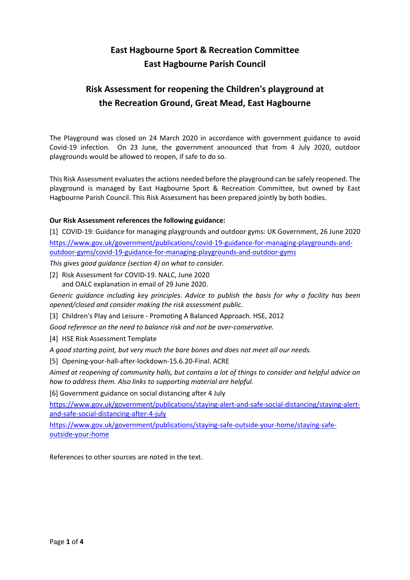# **East Hagbourne Sport & Recreation Committee East Hagbourne Parish Council**

# **Risk Assessment for reopening the Children's playground at the Recreation Ground, Great Mead, East Hagbourne**

The Playground was closed on 24 March 2020 in accordance with government guidance to avoid Covid-19 infection. On 23 June, the government announced that from 4 July 2020, outdoor playgrounds would be allowed to reopen, if safe to do so.

This Risk Assessment evaluates the actions needed before the playground can be safely reopened. The playground is managed by East Hagbourne Sport & Recreation Committee, but owned by East Hagbourne Parish Council. This Risk Assessment has been prepared jointly by both bodies.

### **Our Risk Assessment references the following guidance:**

[1] COVID-19: Guidance for managing playgrounds and outdoor gyms: UK Government, 26 June 2020 [https://www.gov.uk/government/publications/covid-19-guidance-for-managing-playgrounds-and](https://www.gov.uk/government/publications/covid-19-guidance-for-managing-playgrounds-and-outdoor-gyms/covid-19-guidance-for-managing-playgrounds-and-outdoor-gyms)[outdoor-gyms/covid-19-guidance-for-managing-playgrounds-and-outdoor-gyms](https://www.gov.uk/government/publications/covid-19-guidance-for-managing-playgrounds-and-outdoor-gyms/covid-19-guidance-for-managing-playgrounds-and-outdoor-gyms)

*This gives good guidance (section 4) on what to consider.*

[2] Risk Assessment for COVID-19. NALC, June 2020 and OALC explanation in email of 29 June 2020.

*Generic guidance including key principles. Advice to publish the basis for why a facility has been opened/closed and consider making the risk assessment public.* 

[3] Children's Play and Leisure - Promoting A Balanced Approach. HSE, 2012

*Good reference on the need to balance risk and not be over-conservative.*

[4] HSE Risk Assessment Template

*A good starting point, but very much the bare bones and does not meet all our needs.* 

[5] Opening-your-hall-after-lockdown-15.6.20-Final. ACRE

*Aimed at reopening of community halls, but contains a lot of things to consider and helpful advice on how to address them. Also links to supporting material are helpful.*

[6] Government guidance on social distancing after 4 July

[https://www.gov.uk/government/publications/staying-alert-and-safe-social-distancing/staying-alert](https://www.gov.uk/government/publications/staying-alert-and-safe-social-distancing/staying-alert-and-safe-social-distancing-after-4-july)[and-safe-social-distancing-after-4-july](https://www.gov.uk/government/publications/staying-alert-and-safe-social-distancing/staying-alert-and-safe-social-distancing-after-4-july)

[https://www.gov.uk/government/publications/staying-safe-outside-your-home/staying-safe](https://www.gov.uk/government/publications/staying-safe-outside-your-home/staying-safe-outside-your-home)[outside-your-home](https://www.gov.uk/government/publications/staying-safe-outside-your-home/staying-safe-outside-your-home)

References to other sources are noted in the text.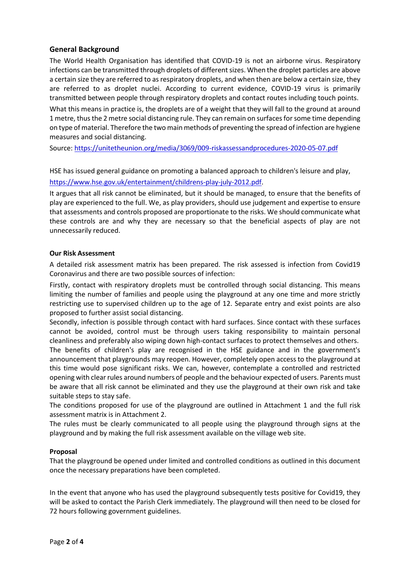### **General Background**

The World Health Organisation has identified that COVID-19 is not an airborne virus. Respiratory infections can be transmitted through droplets of different sizes. When the droplet particles are above a certain size they are referred to as respiratory droplets, and when then are below a certain size, they are referred to as droplet nuclei. According to current evidence, COVID-19 virus is primarily transmitted between people through respiratory droplets and contact routes including touch points.

What this means in practice is, the droplets are of a weight that they will fall to the ground at around 1 metre, thus the 2 metre social distancing rule. They can remain on surfaces for some time depending on type of material. Therefore the two main methods of preventing the spread of infection are hygiene measures and social distancing.

Source:<https://unitetheunion.org/media/3069/009-riskassessandprocedures-2020-05-07.pdf>

HSE has issued general guidance on promoting a balanced approach to children's leisure and play, [https://www.hse.gov.uk/entertainment/childrens-play-july-2012.pdf.](https://www.hse.gov.uk/entertainment/childrens-play-july-2012.pdf)

It argues that all risk cannot be eliminated, but it should be managed, to ensure that the benefits of play are experienced to the full. We, as play providers, should use judgement and expertise to ensure that assessments and controls proposed are proportionate to the risks. We should communicate what these controls are and why they are necessary so that the beneficial aspects of play are not unnecessarily reduced.

#### **Our Risk Assessment**

A detailed risk assessment matrix has been prepared. The risk assessed is infection from Covid19 Coronavirus and there are two possible sources of infection:

Firstly, contact with respiratory droplets must be controlled through social distancing. This means limiting the number of families and people using the playground at any one time and more strictly restricting use to supervised children up to the age of 12. Separate entry and exist points are also proposed to further assist social distancing.

Secondly, infection is possible through contact with hard surfaces. Since contact with these surfaces cannot be avoided, control must be through users taking responsibility to maintain personal cleanliness and preferably also wiping down high-contact surfaces to protect themselves and others.

The benefits of children's play are recognised in the HSE guidance and in the government's announcement that playgrounds may reopen. However, completely open access to the playground at this time would pose significant risks. We can, however, contemplate a controlled and restricted opening with clear rules around numbers of people and the behaviour expected of users. Parents must be aware that all risk cannot be eliminated and they use the playground at their own risk and take suitable steps to stay safe.

The conditions proposed for use of the playground are outlined in Attachment 1 and the full risk assessment matrix is in Attachment 2.

The rules must be clearly communicated to all people using the playground through signs at the playground and by making the full risk assessment available on the village web site.

#### **Proposal**

That the playground be opened under limited and controlled conditions as outlined in this document once the necessary preparations have been completed.

In the event that anyone who has used the playground subsequently tests positive for Covid19, they will be asked to contact the Parish Clerk immediately. The playground will then need to be closed for 72 hours following government guidelines.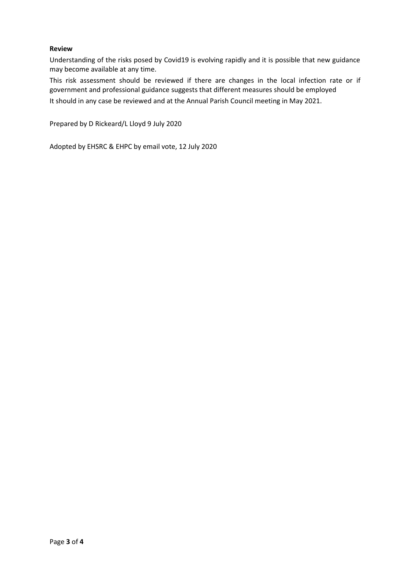#### **Review**

Understanding of the risks posed by Covid19 is evolving rapidly and it is possible that new guidance may become available at any time.

This risk assessment should be reviewed if there are changes in the local infection rate or if government and professional guidance suggests that different measures should be employed It should in any case be reviewed and at the Annual Parish Council meeting in May 2021.

Prepared by D Rickeard/L Lloyd 9 July 2020

Adopted by EHSRC & EHPC by email vote, 12 July 2020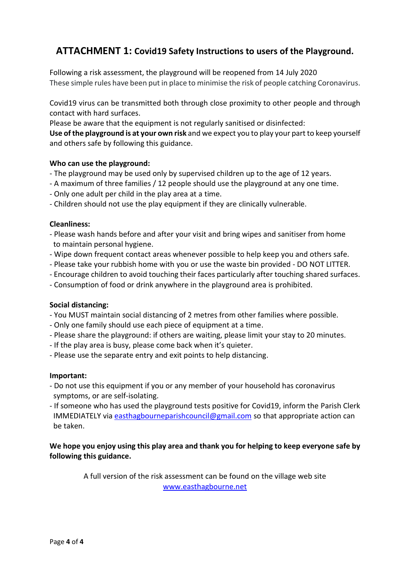# **ATTACHMENT 1: Covid19 Safety Instructions to users of the Playground.**

Following a risk assessment, the playground will be reopened from 14 July 2020 These simple rules have been put in place to minimise the risk of people catching Coronavirus.

Covid19 virus can be transmitted both through close proximity to other people and through contact with hard surfaces.

Please be aware that the equipment is not regularly sanitised or disinfected:

**Use of the playground is at your own risk** and we expect you to play your part to keep yourself and others safe by following this guidance.

### **Who can use the playground:**

- The playground may be used only by supervised children up to the age of 12 years.
- A maximum of three families / 12 people should use the playground at any one time.
- Only one adult per child in the play area at a time.
- Children should not use the play equipment if they are clinically vulnerable.

### **Cleanliness:**

- Please wash hands before and after your visit and bring wipes and sanitiser from home to maintain personal hygiene.
- Wipe down frequent contact areas whenever possible to help keep you and others safe.
- Please take your rubbish home with you or use the waste bin provided DO NOT LITTER.
- Encourage children to avoid touching their faces particularly after touching shared surfaces.
- Consumption of food or drink anywhere in the playground area is prohibited.

### **Social distancing:**

- You MUST maintain social distancing of 2 metres from other families where possible.
- Only one family should use each piece of equipment at a time.
- Please share the playground: if others are waiting, please limit your stay to 20 minutes.
- If the play area is busy, please come back when it's quieter.
- Please use the separate entry and exit points to help distancing.

### **Important:**

- Do not use this equipment if you or any member of your household has coronavirus symptoms, or are self-isolating.
- If someone who has used the playground tests positive for Covid19, inform the Parish Clerk IMMEDIATELY via [easthagbourneparishcouncil@gmail.com](mailto:easthagbourneparishcouncil@gmail.com) so that appropriate action can be taken.

### **We hope you enjoy using this play area and thank you for helping to keep everyone safe by following this guidance.**

A full version of the risk assessment can be found on the village web site [www.easthagbourne.net](http://www.easthagbourne.net/)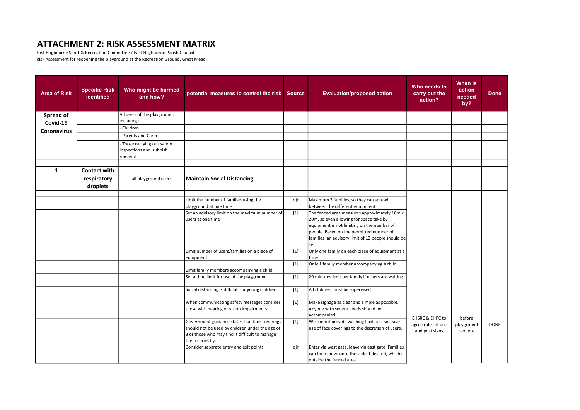## ATTACHMENT 2: RISK ASSESSMENT MATRIX

East Hagbourne Sport & Recreation Committee / East Hagbourne Parish Council Risk Assessment for reopening the playground at the Recreation Ground, Great Mead

| <b>Area of Risk</b> | <b>Specific Risk</b><br>identified | Who might be harmed<br>and how?                                 | potential measures to control the risk Source                                                                                                                          |                   | <b>Evaluation/proposed action</b>                                                                                                                                                                                                              | Who needs to<br>carry out the<br>action? | When is<br>action<br>needed<br>by? | <b>Done</b> |
|---------------------|------------------------------------|-----------------------------------------------------------------|------------------------------------------------------------------------------------------------------------------------------------------------------------------------|-------------------|------------------------------------------------------------------------------------------------------------------------------------------------------------------------------------------------------------------------------------------------|------------------------------------------|------------------------------------|-------------|
| Spread of           |                                    | All users of the playground,                                    |                                                                                                                                                                        |                   |                                                                                                                                                                                                                                                |                                          |                                    |             |
| Covid-19            |                                    | including:                                                      |                                                                                                                                                                        |                   |                                                                                                                                                                                                                                                |                                          |                                    |             |
| <b>Coronavirus</b>  |                                    | Children                                                        |                                                                                                                                                                        |                   |                                                                                                                                                                                                                                                |                                          |                                    |             |
|                     |                                    | <b>Parents and Carers</b>                                       |                                                                                                                                                                        |                   |                                                                                                                                                                                                                                                |                                          |                                    |             |
|                     |                                    | Those carrying out safety<br>inspections and rubbish<br>removal |                                                                                                                                                                        |                   |                                                                                                                                                                                                                                                |                                          |                                    |             |
| 1                   | Contact with                       |                                                                 |                                                                                                                                                                        |                   |                                                                                                                                                                                                                                                |                                          |                                    |             |
|                     | respiratory<br>droplets            | all playground users                                            | <b>Maintain Social Distancing</b>                                                                                                                                      |                   |                                                                                                                                                                                                                                                |                                          |                                    |             |
|                     |                                    |                                                                 |                                                                                                                                                                        |                   |                                                                                                                                                                                                                                                |                                          |                                    |             |
|                     |                                    |                                                                 | Limit the number of families using the<br>playground at one time                                                                                                       | dir               | Maximum 3 families, so they can spread<br>between the different equipment                                                                                                                                                                      |                                          |                                    |             |
|                     |                                    |                                                                 | Set an advisory limit on the maximum number of<br>users at one time                                                                                                    | $[1]$             | The fenced area measures approximately 18m x<br>20m, so even allowing for space take by<br>equipment is not limiting on the number of<br>people. Based on the permitted number of<br>families, an advisory limit of 12 people should be<br>set |                                          |                                    |             |
|                     |                                    |                                                                 | Limit number of users/families on a piece of<br>equipment                                                                                                              | $[1]$             | Only one family on each piece of equipment at a<br>time                                                                                                                                                                                        |                                          |                                    |             |
|                     |                                    |                                                                 | Limit family members accompanying a child                                                                                                                              | $[1]$             | Only 1 family member accompanying a child                                                                                                                                                                                                      |                                          |                                    |             |
|                     |                                    |                                                                 | Set a time limit for use of the playground                                                                                                                             | $[1]$             | 20 minutes limit per family if others are waiting                                                                                                                                                                                              |                                          |                                    |             |
|                     |                                    |                                                                 | Social distancing is difficult for young children                                                                                                                      | $\lceil 1 \rceil$ | All children must be supervised                                                                                                                                                                                                                |                                          |                                    |             |
|                     |                                    |                                                                 | When communicating safety messages consider<br>those with hearing or vision impairments.                                                                               | $[1]$             | Make signage as clear and simple as possible.<br>Anyone with severe needs should be<br>accompanied.                                                                                                                                            | <b>EHSRC &amp; EHPC to</b>               | before                             |             |
|                     |                                    |                                                                 | Government guidance states that face coverings<br>should not be used by children under the age of<br>3 or those who may find it difficult to manage<br>them correctly. | $[1]$             | We cannot provide washing facilities, so leave<br>use of face coverings to the discretion of users.                                                                                                                                            | agree rules of use<br>and post signs     | playground<br>reopens              | DONE        |
|                     |                                    |                                                                 | Consider separate entry and exit points                                                                                                                                | djr               | Enter via west gate, leave via east gate. Families<br>can then move onto the slide if desired, which is<br>outside the fenced area                                                                                                             |                                          |                                    |             |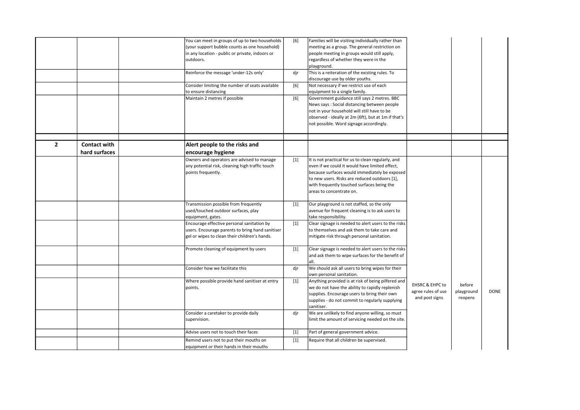|                |                     | You can meet in groups of up to two households   | [6]   | Families will be visiting individually rather than  |                            |            |             |
|----------------|---------------------|--------------------------------------------------|-------|-----------------------------------------------------|----------------------------|------------|-------------|
|                |                     | (your support bubble counts as one household)    |       | meeting as a group. The general restriction on      |                            |            |             |
|                |                     | in any location - public or private, indoors or  |       | people meeting in groups would still apply,         |                            |            |             |
|                |                     | outdoors.                                        |       | regardless of whether they were in the              |                            |            |             |
|                |                     |                                                  |       | playground.                                         |                            |            |             |
|                |                     | Reinforce the message 'under-12s only'           | djr   | This is a reiteration of the existing rules. To     |                            |            |             |
|                |                     |                                                  |       | discourage use by older youths.                     |                            |            |             |
|                |                     |                                                  |       |                                                     |                            |            |             |
|                |                     | Consider limiting the number of seats available  | [6]   | Not necessary if we restrict use of each            |                            |            |             |
|                |                     | to ensure distancing                             |       | equipment to a single family.                       |                            |            |             |
|                |                     | Maintain 2 metres if possible                    | [6]   | Government guidance still says 2 metres. BBC        |                            |            |             |
|                |                     |                                                  |       | News says: Social distancing between people         |                            |            |             |
|                |                     |                                                  |       | not in your household will still have to be         |                            |            |             |
|                |                     |                                                  |       | observed - ideally at 2m (6ft), but at 1m if that's |                            |            |             |
|                |                     |                                                  |       | not possible. Word signage accordingly.             |                            |            |             |
|                |                     |                                                  |       |                                                     |                            |            |             |
|                |                     |                                                  |       |                                                     |                            |            |             |
| $\overline{2}$ | <b>Contact with</b> | Alert people to the risks and                    |       |                                                     |                            |            |             |
|                | hard surfaces       | encourage hygiene                                |       |                                                     |                            |            |             |
|                |                     |                                                  |       |                                                     |                            |            |             |
|                |                     | Owners and operators are advised to manage       | $[1]$ | It is not practical for us to clean regularly, and  |                            |            |             |
|                |                     | any potential risk, cleaning high traffic touch  |       | even if we could it would have limited effect,      |                            |            |             |
|                |                     | points frequently.                               |       | because surfaces would immediately be exposed       |                            |            |             |
|                |                     |                                                  |       | to new users. Risks are reduced outdoors [1],       |                            |            |             |
|                |                     |                                                  |       | with frequently touched surfaces being the          |                            |            |             |
|                |                     |                                                  |       | areas to concentrate on.                            |                            |            |             |
|                |                     |                                                  |       |                                                     |                            |            |             |
|                |                     | Transmission possible from frequently            | $[1]$ | Our playground is not staffed, so the only          |                            |            |             |
|                |                     | used/touched outdoor surfaces, play              |       | avenue for frequent cleaning is to ask users to     |                            |            |             |
|                |                     | equipment, gates.                                |       | take responsibility.                                |                            |            |             |
|                |                     | Encourage effective personal sanitation by       | $[1]$ | Clear signage is needed to alert users to the risks |                            |            |             |
|                |                     |                                                  |       |                                                     |                            |            |             |
|                |                     | users. Encourage parents to bring hand sanitiser |       | to themselves and ask them to take care and         |                            |            |             |
|                |                     | gel or wipes to clean their children's hands.    |       | mitigate risk through personal sanitation.          |                            |            |             |
|                |                     |                                                  |       |                                                     |                            |            |             |
|                |                     | Promote cleaning of equipment by users           | $[1]$ | Clear signage is needed to alert users to the risks |                            |            |             |
|                |                     |                                                  |       | and ask them to wipe surfaces for the benefit of    |                            |            |             |
|                |                     |                                                  |       | all.                                                |                            |            |             |
|                |                     | Consider how we facilitate this                  | djr   | We should ask all users to bring wipes for their    |                            |            |             |
|                |                     |                                                  |       | own personal sanitation.                            |                            |            |             |
|                |                     | Where possible provide hand sanitiser at entry   | $[1]$ | Anything provided is at risk of being pilfered and  |                            |            |             |
|                |                     | points.                                          |       | we do not have the ability to rapidly replenish     | <b>EHSRC &amp; EHPC to</b> | before     |             |
|                |                     |                                                  |       | supplies. Encourage users to bring their own        | agree rules of use         | playground | <b>DONE</b> |
|                |                     |                                                  |       | supplies - do not commit to regularly supplying     | and post signs             | reopens    |             |
|                |                     |                                                  |       |                                                     |                            |            |             |
|                |                     |                                                  |       | sanitiser.                                          |                            |            |             |
|                |                     | Consider a caretaker to provide daily            | djr   | We are unlikely to find anyone willing, so must     |                            |            |             |
|                |                     | supervision.                                     |       | limit the amount of servicing needed on the site.   |                            |            |             |
|                |                     | Advise users not to touch their faces            | $[1]$ | Part of general government advice.                  |                            |            |             |
|                |                     |                                                  |       |                                                     |                            |            |             |
|                |                     | Remind users not to put their mouths on          | $[1]$ | Require that all children be supervised.            |                            |            |             |
|                |                     | equipment or their hands in their mouths         |       |                                                     |                            |            |             |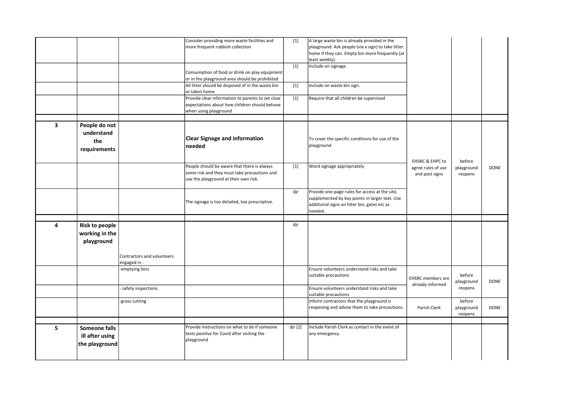|                         |                                                       |                                           | Consider providing more waste facilities and<br>more frequent rubbish collection<br>Consumption of food or drink on play equipment           | $[1]$<br>$[1]$     | A large waste bin is already provided in the<br>playground. Ask people (via a sign) to take litter<br>home if they can. Empty bin more frequently (at<br>least weekly).<br>Include on signage. |                                              |                                 |             |
|-------------------------|-------------------------------------------------------|-------------------------------------------|----------------------------------------------------------------------------------------------------------------------------------------------|--------------------|------------------------------------------------------------------------------------------------------------------------------------------------------------------------------------------------|----------------------------------------------|---------------------------------|-------------|
|                         |                                                       |                                           | or in the playground area should be prohibited<br>All litter should be disposed of in the waste bin                                          | $[1]$              | Include on waste bin sign.                                                                                                                                                                     |                                              |                                 |             |
|                         |                                                       |                                           | or taken home<br>Provide clear information to parents to set clear<br>expectations about how children should behave<br>when using playground | $[1]$              | Require that all children be supervised                                                                                                                                                        |                                              |                                 |             |
| $\overline{\mathbf{3}}$ | People do not<br>understand<br>the<br>requirements    |                                           | <b>Clear Signage and information</b><br>needed                                                                                               |                    | To cover the specific conditions for use of the<br>playground                                                                                                                                  | <b>EHSRC &amp; EHPC to</b>                   | before                          |             |
|                         |                                                       |                                           | People should be aware that there is always<br>some risk and they must take precautions and<br>use the playground at their own risk.         | $[1]$              | Word signage appropriately                                                                                                                                                                     | agree rules of use<br>and post signs         | playground<br>reopens           | <b>DONE</b> |
|                         |                                                       |                                           | The signage is too detailed, too prescriptive.                                                                                               | djr                | Provide one-page rules for access at the site,<br>supplemented by key points in larger text. Use<br>additional signs on litter bin, gates etc as<br>needed.                                    |                                              |                                 |             |
|                         |                                                       |                                           |                                                                                                                                              |                    |                                                                                                                                                                                                |                                              |                                 |             |
| 4                       | <b>Risk to people</b><br>working in the<br>playground |                                           |                                                                                                                                              | djr                |                                                                                                                                                                                                |                                              |                                 |             |
|                         |                                                       | Contractors and volunteers<br>engaged in: |                                                                                                                                              |                    |                                                                                                                                                                                                |                                              |                                 |             |
|                         |                                                       | emptying bins-                            |                                                                                                                                              |                    | Ensure volunteers understand risks and take<br>suitable precautions                                                                                                                            | <b>EHSRC</b> members are<br>already informed | before<br>playground            | <b>DONE</b> |
|                         |                                                       | safety inspections                        |                                                                                                                                              |                    | Ensure volunteers understand risks and take<br>suitable precautions                                                                                                                            |                                              | reopens                         |             |
|                         |                                                       | grass cutting                             |                                                                                                                                              |                    | Inform contractors that the playground is<br>reopening and advise them to take precautions.                                                                                                    | Parish Clerk                                 | before<br>playground<br>reopens | <b>DONE</b> |
|                         |                                                       |                                           |                                                                                                                                              |                    |                                                                                                                                                                                                |                                              |                                 |             |
| 5                       | Someone falls<br>ill after using<br>the playground    |                                           | Provide instructions on what to do if someone<br>tests positive for Covid after visiting the<br>playground                                   | dir <sub>[2]</sub> | Include Parish Clerk as contact in the event of<br>any emergency.                                                                                                                              |                                              |                                 |             |